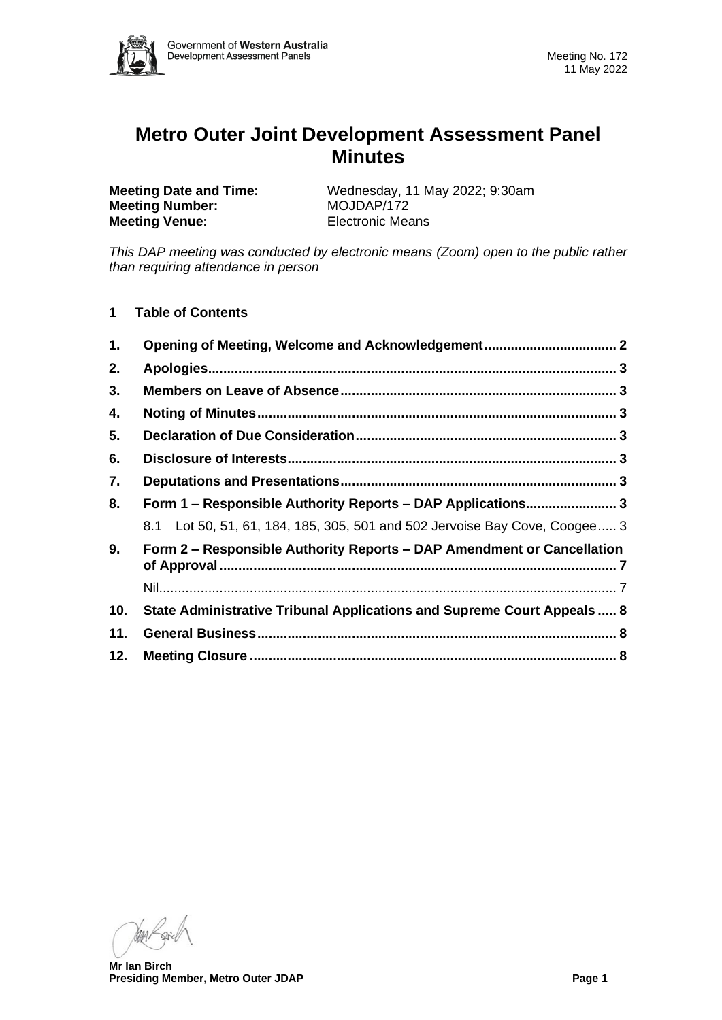

# **Metro Outer Joint Development Assessment Panel Minutes**

**Meeting Number:** MOJDAP/172 **Meeting Venue:** Electronic Means

**Meeting Date and Time:** Wednesday, 11 May 2022; 9:30am

*This DAP meeting was conducted by electronic means (Zoom) open to the public rather than requiring attendance in person*

**1 Table of Contents**

| 1.  | Opening of Meeting, Welcome and Acknowledgement 2                          |  |
|-----|----------------------------------------------------------------------------|--|
| 2.  |                                                                            |  |
| 3.  |                                                                            |  |
| 4.  |                                                                            |  |
| 5.  |                                                                            |  |
| 6.  |                                                                            |  |
| 7.  |                                                                            |  |
| 8.  | Form 1 - Responsible Authority Reports - DAP Applications 3                |  |
|     | 8.1 Lot 50, 51, 61, 184, 185, 305, 501 and 502 Jervoise Bay Cove, Coogee 3 |  |
| 9.  | Form 2 - Responsible Authority Reports - DAP Amendment or Cancellation     |  |
|     |                                                                            |  |
| 10. | State Administrative Tribunal Applications and Supreme Court Appeals  8    |  |
| 11. |                                                                            |  |
| 12. |                                                                            |  |

**Mr Ian Birch Presiding Member, Metro Outer JDAP Page 1**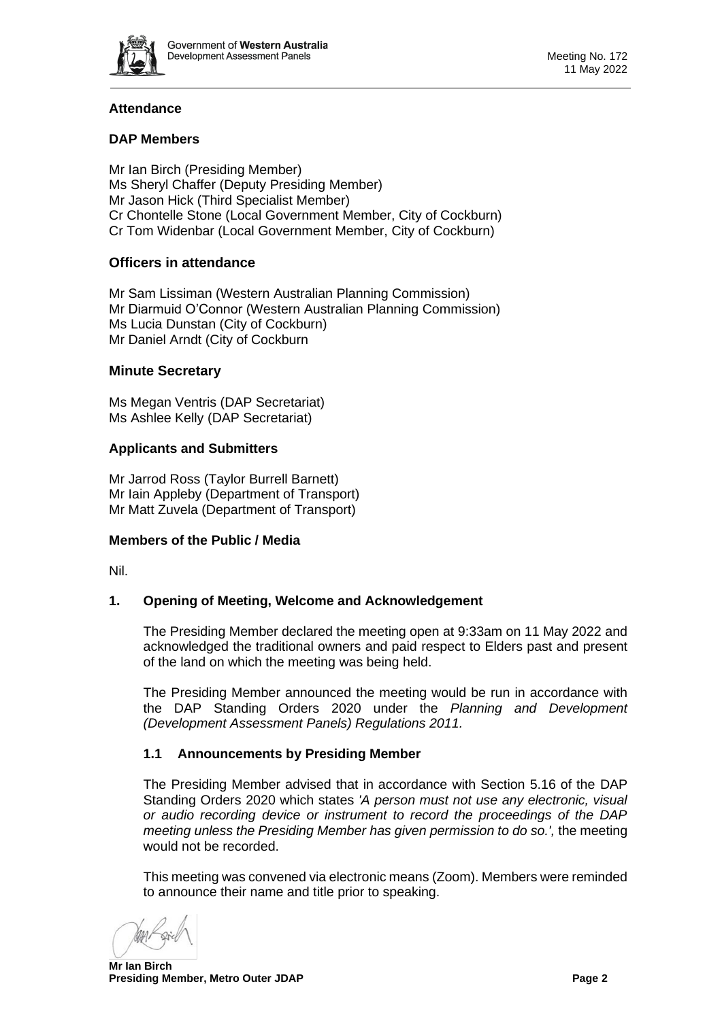

# **Attendance**

## **DAP Members**

Mr Ian Birch (Presiding Member) Ms Sheryl Chaffer (Deputy Presiding Member) Mr Jason Hick (Third Specialist Member) Cr Chontelle Stone (Local Government Member, City of Cockburn) Cr Tom Widenbar (Local Government Member, City of Cockburn)

# **Officers in attendance**

Mr Sam Lissiman (Western Australian Planning Commission) Mr Diarmuid O'Connor (Western Australian Planning Commission) Ms Lucia Dunstan (City of Cockburn) Mr Daniel Arndt (City of Cockburn

### **Minute Secretary**

Ms Megan Ventris (DAP Secretariat) Ms Ashlee Kelly (DAP Secretariat)

# **Applicants and Submitters**

Mr Jarrod Ross (Taylor Burrell Barnett) Mr Iain Appleby (Department of Transport) Mr Matt Zuvela (Department of Transport)

### **Members of the Public / Media**

<span id="page-1-0"></span>Nil.

### **1. Opening of Meeting, Welcome and Acknowledgement**

The Presiding Member declared the meeting open at 9:33am on 11 May 2022 and acknowledged the traditional owners and paid respect to Elders past and present of the land on which the meeting was being held.

The Presiding Member announced the meeting would be run in accordance with the DAP Standing Orders 2020 under the *Planning and Development (Development Assessment Panels) Regulations 2011.*

### **1.1 Announcements by Presiding Member**

The Presiding Member advised that in accordance with Section 5.16 of the DAP Standing Orders 2020 which states *'A person must not use any electronic, visual or audio recording device or instrument to record the proceedings of the DAP meeting unless the Presiding Member has given permission to do so.',* the meeting would not be recorded.

This meeting was convened via electronic means (Zoom). Members were reminded to announce their name and title prior to speaking.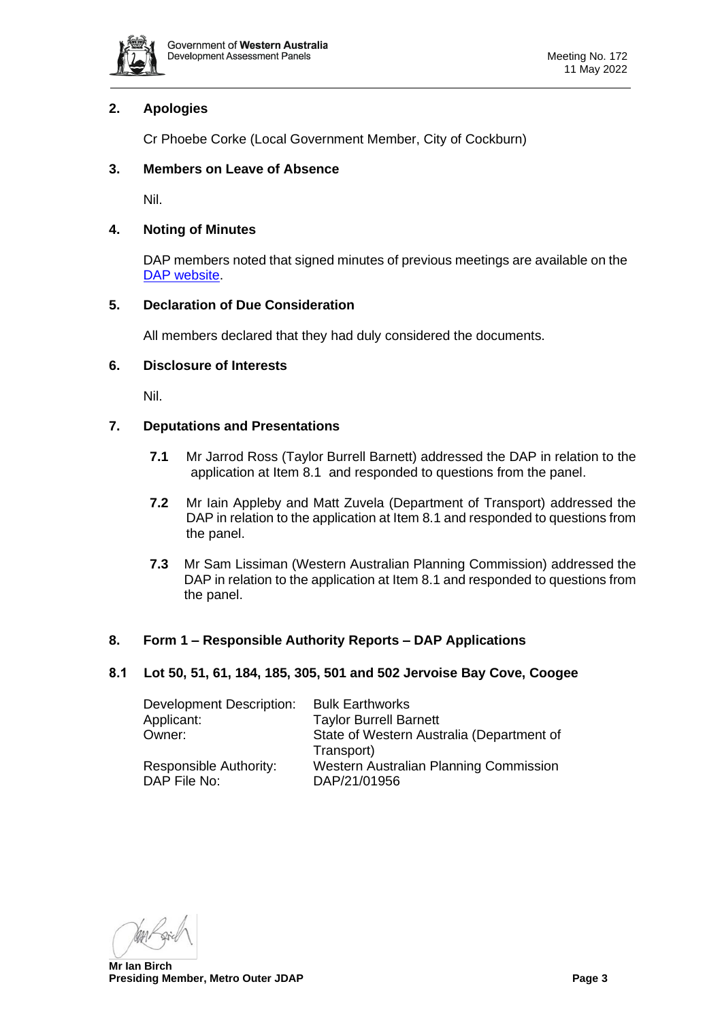

# <span id="page-2-0"></span>**2. Apologies**

Cr Phoebe Corke (Local Government Member, City of Cockburn)

## <span id="page-2-1"></span>**3. Members on Leave of Absence**

Nil.

## <span id="page-2-2"></span>**4. Noting of Minutes**

DAP members noted that signed minutes of previous meetings are available on the [DAP website.](https://www.dplh.wa.gov.au/about/development-assessment-panels/daps-agendas-and-minutes)

## <span id="page-2-3"></span>**5. Declaration of Due Consideration**

All members declared that they had duly considered the documents.

## <span id="page-2-4"></span>**6. Disclosure of Interests**

Nil.

### <span id="page-2-5"></span>**7. Deputations and Presentations**

- **7.1** Mr Jarrod Ross (Taylor Burrell Barnett) addressed the DAP in relation to the application at Item 8.1 and responded to questions from the panel.
- **7.2** Mr Iain Appleby and Matt Zuvela (Department of Transport) addressed the DAP in relation to the application at Item 8.1 and responded to questions from the panel.
- **7.3** Mr Sam Lissiman (Western Australian Planning Commission) addressed the DAP in relation to the application at Item 8.1 and responded to questions from the panel.

### <span id="page-2-6"></span>**8. Form 1 – Responsible Authority Reports – DAP Applications**

### <span id="page-2-7"></span>**8.1 Lot 50, 51, 61, 184, 185, 305, 501 and 502 Jervoise Bay Cove, Coogee**

| Development Description: | <b>Bulk Earthworks</b>                    |
|--------------------------|-------------------------------------------|
| Applicant:               | <b>Taylor Burrell Barnett</b>             |
| Owner:                   | State of Western Australia (Department of |
|                          | Transport)                                |
| Responsible Authority:   | Western Australian Planning Commission    |
| DAP File No:             | DAP/21/01956                              |

**Mr Ian Birch Presiding Member, Metro Outer JDAP Page 3**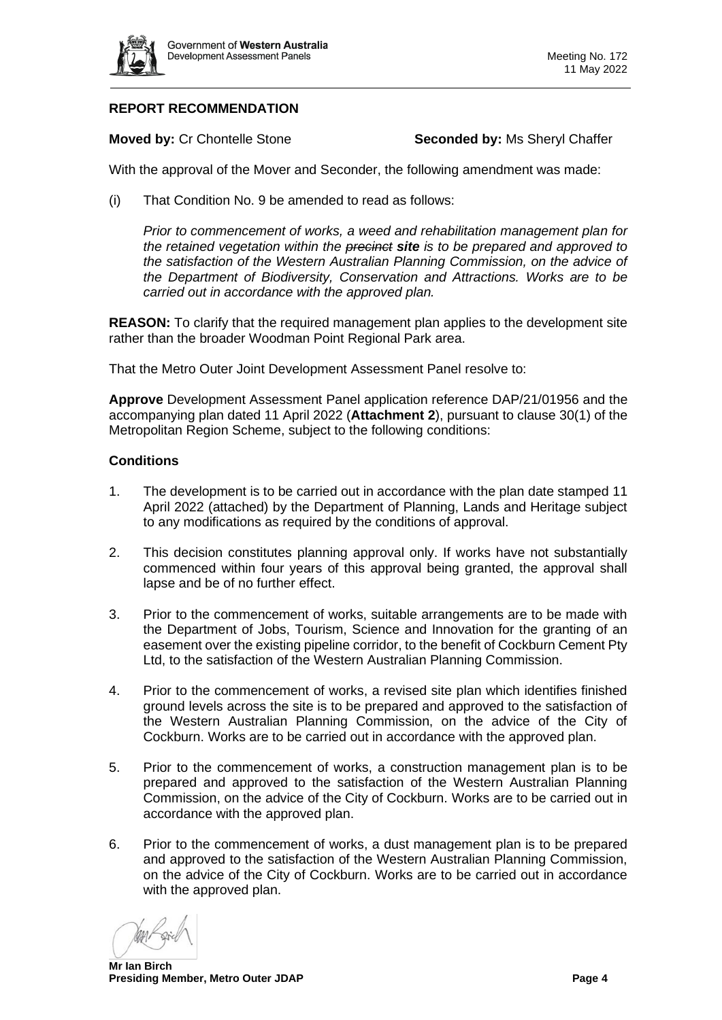

# **REPORT RECOMMENDATION**

**Moved by: Cr Chontelle Stone <b>Seconded by:** Ms Sheryl Chaffer

With the approval of the Mover and Seconder, the following amendment was made:

(i) That Condition No. 9 be amended to read as follows:

*Prior to commencement of works, a weed and rehabilitation management plan for the retained vegetation within the precinct site is to be prepared and approved to the satisfaction of the Western Australian Planning Commission, on the advice of the Department of Biodiversity, Conservation and Attractions. Works are to be carried out in accordance with the approved plan.*

**REASON:** To clarify that the required management plan applies to the development site rather than the broader Woodman Point Regional Park area.

That the Metro Outer Joint Development Assessment Panel resolve to:

**Approve** Development Assessment Panel application reference DAP/21/01956 and the accompanying plan dated 11 April 2022 (**Attachment 2**), pursuant to clause 30(1) of the Metropolitan Region Scheme, subject to the following conditions:

#### **Conditions**

- 1. The development is to be carried out in accordance with the plan date stamped 11 April 2022 (attached) by the Department of Planning, Lands and Heritage subject to any modifications as required by the conditions of approval.
- 2. This decision constitutes planning approval only. If works have not substantially commenced within four years of this approval being granted, the approval shall lapse and be of no further effect.
- 3. Prior to the commencement of works, suitable arrangements are to be made with the Department of Jobs, Tourism, Science and Innovation for the granting of an easement over the existing pipeline corridor, to the benefit of Cockburn Cement Pty Ltd, to the satisfaction of the Western Australian Planning Commission.
- 4. Prior to the commencement of works, a revised site plan which identifies finished ground levels across the site is to be prepared and approved to the satisfaction of the Western Australian Planning Commission, on the advice of the City of Cockburn. Works are to be carried out in accordance with the approved plan.
- 5. Prior to the commencement of works, a construction management plan is to be prepared and approved to the satisfaction of the Western Australian Planning Commission, on the advice of the City of Cockburn. Works are to be carried out in accordance with the approved plan.
- 6. Prior to the commencement of works, a dust management plan is to be prepared and approved to the satisfaction of the Western Australian Planning Commission, on the advice of the City of Cockburn. Works are to be carried out in accordance with the approved plan.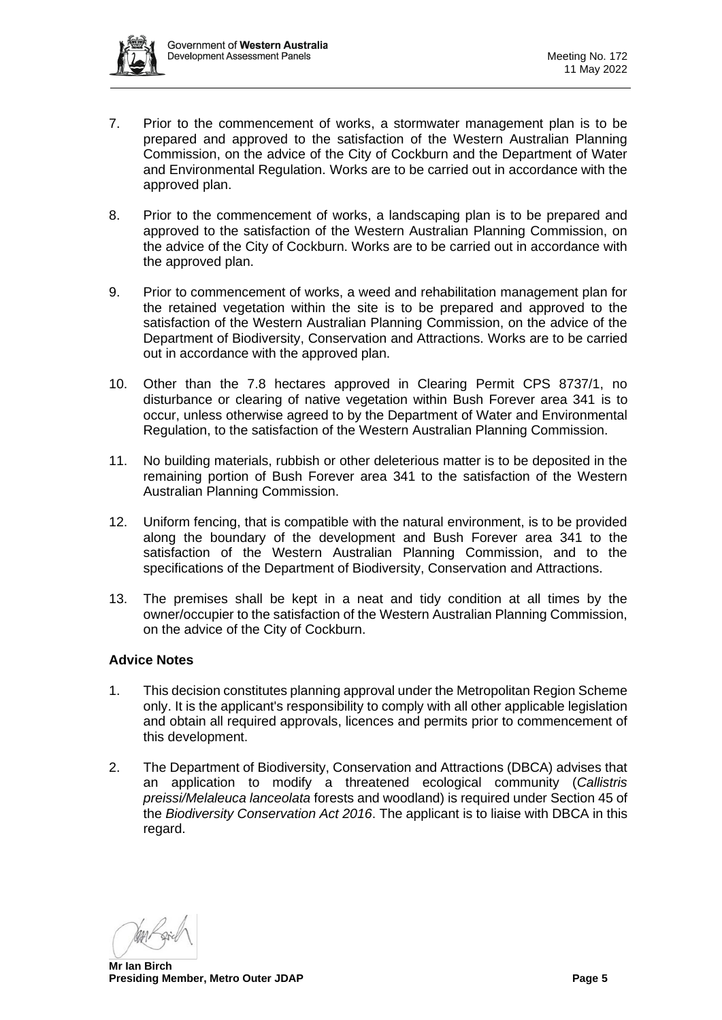

- 7. Prior to the commencement of works, a stormwater management plan is to be prepared and approved to the satisfaction of the Western Australian Planning Commission, on the advice of the City of Cockburn and the Department of Water and Environmental Regulation. Works are to be carried out in accordance with the approved plan.
- 8. Prior to the commencement of works, a landscaping plan is to be prepared and approved to the satisfaction of the Western Australian Planning Commission, on the advice of the City of Cockburn. Works are to be carried out in accordance with the approved plan.
- 9. Prior to commencement of works, a weed and rehabilitation management plan for the retained vegetation within the site is to be prepared and approved to the satisfaction of the Western Australian Planning Commission, on the advice of the Department of Biodiversity, Conservation and Attractions. Works are to be carried out in accordance with the approved plan.
- 10. Other than the 7.8 hectares approved in Clearing Permit CPS 8737/1, no disturbance or clearing of native vegetation within Bush Forever area 341 is to occur, unless otherwise agreed to by the Department of Water and Environmental Regulation, to the satisfaction of the Western Australian Planning Commission.
- 11. No building materials, rubbish or other deleterious matter is to be deposited in the remaining portion of Bush Forever area 341 to the satisfaction of the Western Australian Planning Commission.
- 12. Uniform fencing, that is compatible with the natural environment, is to be provided along the boundary of the development and Bush Forever area 341 to the satisfaction of the Western Australian Planning Commission, and to the specifications of the Department of Biodiversity, Conservation and Attractions.
- 13. The premises shall be kept in a neat and tidy condition at all times by the owner/occupier to the satisfaction of the Western Australian Planning Commission, on the advice of the City of Cockburn.

### **Advice Notes**

- 1. This decision constitutes planning approval under the Metropolitan Region Scheme only. It is the applicant's responsibility to comply with all other applicable legislation and obtain all required approvals, licences and permits prior to commencement of this development.
- 2. The Department of Biodiversity, Conservation and Attractions (DBCA) advises that an application to modify a threatened ecological community (*Callistris preissi/Melaleuca lanceolata* forests and woodland) is required under Section 45 of the *Biodiversity Conservation Act 2016*. The applicant is to liaise with DBCA in this regard.

**Mr Ian Birch Presiding Member, Metro Outer JDAP Page 5 Page 5**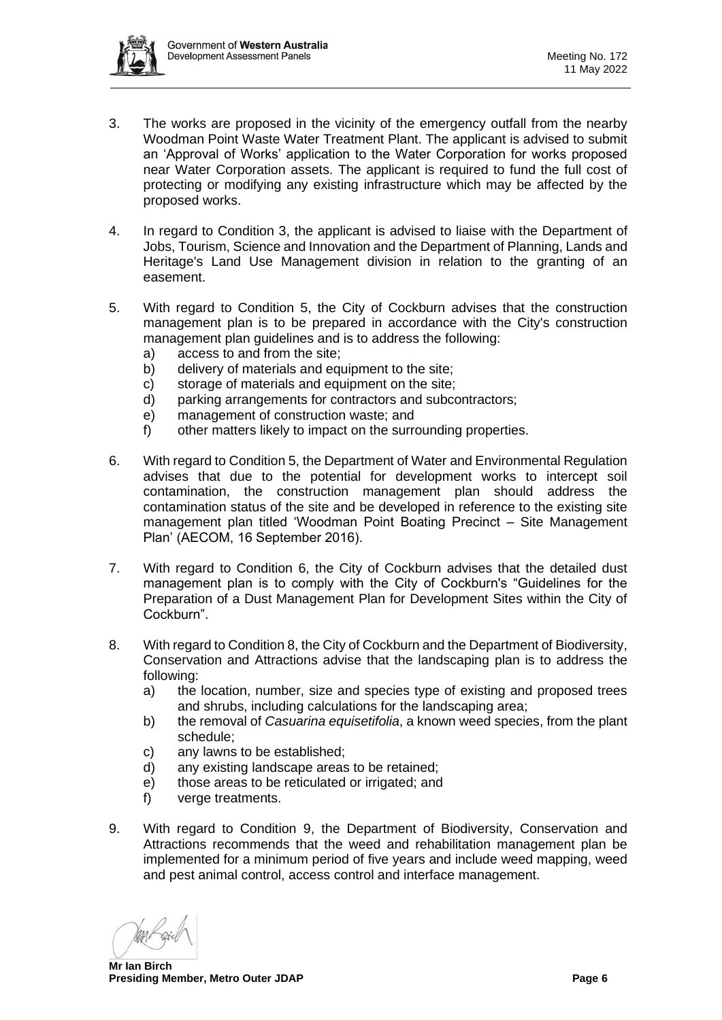

- 3. The works are proposed in the vicinity of the emergency outfall from the nearby Woodman Point Waste Water Treatment Plant. The applicant is advised to submit an 'Approval of Works' application to the Water Corporation for works proposed near Water Corporation assets. The applicant is required to fund the full cost of protecting or modifying any existing infrastructure which may be affected by the proposed works.
- 4. In regard to Condition 3, the applicant is advised to liaise with the Department of Jobs, Tourism, Science and Innovation and the Department of Planning, Lands and Heritage's Land Use Management division in relation to the granting of an easement.
- 5. With regard to Condition 5, the City of Cockburn advises that the construction management plan is to be prepared in accordance with the City's construction management plan guidelines and is to address the following:
	- a) access to and from the site;
	- b) delivery of materials and equipment to the site:
	- c) storage of materials and equipment on the site;
	- d) parking arrangements for contractors and subcontractors;
	- e) management of construction waste; and
	- f) other matters likely to impact on the surrounding properties.
- 6. With regard to Condition 5, the Department of Water and Environmental Regulation advises that due to the potential for development works to intercept soil contamination, the construction management plan should address the contamination status of the site and be developed in reference to the existing site management plan titled 'Woodman Point Boating Precinct – Site Management Plan' (AECOM, 16 September 2016).
- 7. With regard to Condition 6, the City of Cockburn advises that the detailed dust management plan is to comply with the City of Cockburn's "Guidelines for the Preparation of a Dust Management Plan for Development Sites within the City of Cockburn".
- 8. With regard to Condition 8, the City of Cockburn and the Department of Biodiversity, Conservation and Attractions advise that the landscaping plan is to address the following:
	- a) the location, number, size and species type of existing and proposed trees and shrubs, including calculations for the landscaping area;
	- b) the removal of *Casuarina equisetifolia*, a known weed species, from the plant schedule;
	- c) any lawns to be established;
	- d) any existing landscape areas to be retained;
	- e) those areas to be reticulated or irrigated; and
	- f) verge treatments.
- 9. With regard to Condition 9, the Department of Biodiversity, Conservation and Attractions recommends that the weed and rehabilitation management plan be implemented for a minimum period of five years and include weed mapping, weed and pest animal control, access control and interface management.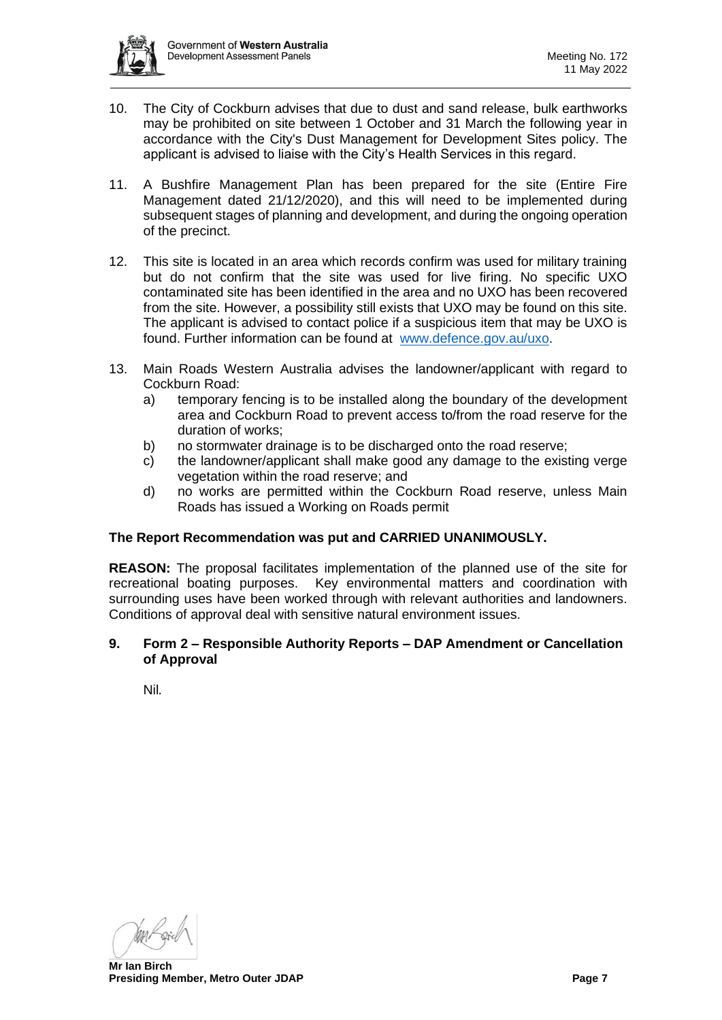

- 10. The City of Cockburn advises that due to dust and sand release, bulk earthworks may be prohibited on site between 1 October and 31 March the following year in accordance with the City's Dust Management for Development Sites policy. The applicant is advised to liaise with the City's Health Services in this regard.
- 11. A Bushfire Management Plan has been prepared for the site (Entire Fire Management dated 21/12/2020), and this will need to be implemented during subsequent stages of planning and development, and during the ongoing operation of the precinct.
- 12. This site is located in an area which records confirm was used for military training but do not confirm that the site was used for live firing. No specific UXO contaminated site has been identified in the area and no UXO has been recovered from the site. However, a possibility still exists that UXO may be found on this site. The applicant is advised to contact police if a suspicious item that may be UXO is found. Further information can be found at [www.defence.gov.au/uxo.](http://www.defence.gov.au/uxo)
- 13. Main Roads Western Australia advises the landowner/applicant with regard to Cockburn Road:
	- a) temporary fencing is to be installed along the boundary of the development area and Cockburn Road to prevent access to/from the road reserve for the duration of works;
	- b) no stormwater drainage is to be discharged onto the road reserve;
	- c) the landowner/applicant shall make good any damage to the existing verge vegetation within the road reserve; and
	- d) no works are permitted within the Cockburn Road reserve, unless Main Roads has issued a Working on Roads permit

### **The Report Recommendation was put and CARRIED UNANIMOUSLY.**

**REASON:** The proposal facilitates implementation of the planned use of the site for recreational boating purposes. Key environmental matters and coordination with surrounding uses have been worked through with relevant authorities and landowners. Conditions of approval deal with sensitive natural environment issues.

#### <span id="page-6-0"></span>**9. Form 2 – Responsible Authority Reports – DAP Amendment or Cancellation of Approval**

<span id="page-6-1"></span>Nil*.*

**Mr Ian Birch Presiding Member, Metro Outer JDAP Page 7 Page 7 Page 7**